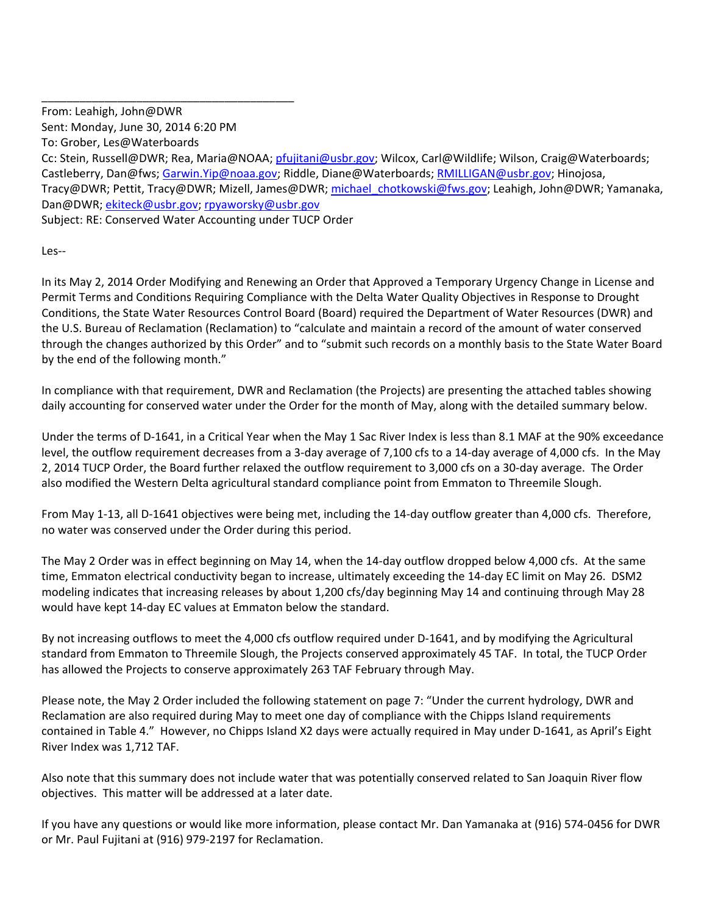\_\_\_\_\_\_\_\_\_\_\_\_\_\_\_\_\_\_\_\_\_\_\_\_\_\_\_\_\_\_\_\_\_\_\_\_\_\_\_\_ From: Leahigh, John@DWR Sent: Monday, June 30, 2014 6:20 PM To: Grober, Les@Waterboards

Cc: Stein, Russell@DWR; Rea, Maria@NOAA; pfujitani@usbr.gov; Wilcox, Carl@Wildlife; Wilson, Craig@Waterboards; Castleberry, Dan@fws; Garwin.Yip@noaa.gov; Riddle, Diane@Waterboards; RMILLIGAN@usbr.gov; Hinojosa, Tracy@DWR; Pettit, Tracy@DWR; Mizell, James@DWR; michael\_chotkowski@fws.gov; Leahigh, John@DWR; Yamanaka, Dan@DWR; ekiteck@usbr.gov; rpyaworsky@usbr.gov Subject: RE: Conserved Water Accounting under TUCP Order

Les‐‐

In its May 2, 2014 Order Modifying and Renewing an Order that Approved a Temporary Urgency Change in License and Permit Terms and Conditions Requiring Compliance with the Delta Water Quality Objectives in Response to Drought Conditions, the State Water Resources Control Board (Board) required the Department of Water Resources (DWR) and the U.S. Bureau of Reclamation (Reclamation) to "calculate and maintain a record of the amount of water conserved through the changes authorized by this Order" and to "submit such records on a monthly basis to the State Water Board by the end of the following month."

In compliance with that requirement, DWR and Reclamation (the Projects) are presenting the attached tables showing daily accounting for conserved water under the Order for the month of May, along with the detailed summary below.

Under the terms of D‐1641, in a Critical Year when the May 1 Sac River Index is less than 8.1 MAF at the 90% exceedance level, the outflow requirement decreases from a 3‐day average of 7,100 cfs to a 14‐day average of 4,000 cfs. In the May 2, 2014 TUCP Order, the Board further relaxed the outflow requirement to 3,000 cfs on a 30‐day average. The Order also modified the Western Delta agricultural standard compliance point from Emmaton to Threemile Slough.

From May 1-13, all D-1641 objectives were being met, including the 14-day outflow greater than 4,000 cfs. Therefore, no water was conserved under the Order during this period.

The May 2 Order was in effect beginning on May 14, when the 14‐day outflow dropped below 4,000 cfs. At the same time, Emmaton electrical conductivity began to increase, ultimately exceeding the 14‐day EC limit on May 26. DSM2 modeling indicates that increasing releases by about 1,200 cfs/day beginning May 14 and continuing through May 28 would have kept 14‐day EC values at Emmaton below the standard.

By not increasing outflows to meet the 4,000 cfs outflow required under D‐1641, and by modifying the Agricultural standard from Emmaton to Threemile Slough, the Projects conserved approximately 45 TAF. In total, the TUCP Order has allowed the Projects to conserve approximately 263 TAF February through May.

Please note, the May 2 Order included the following statement on page 7: "Under the current hydrology, DWR and Reclamation are also required during May to meet one day of compliance with the Chipps Island requirements contained in Table 4." However, no Chipps Island X2 days were actually required in May under D‐1641, as April's Eight River Index was 1,712 TAF.

Also note that this summary does not include water that was potentially conserved related to San Joaquin River flow objectives. This matter will be addressed at a later date.

If you have any questions or would like more information, please contact Mr. Dan Yamanaka at (916) 574‐0456 for DWR or Mr. Paul Fujitani at (916) 979‐2197 for Reclamation.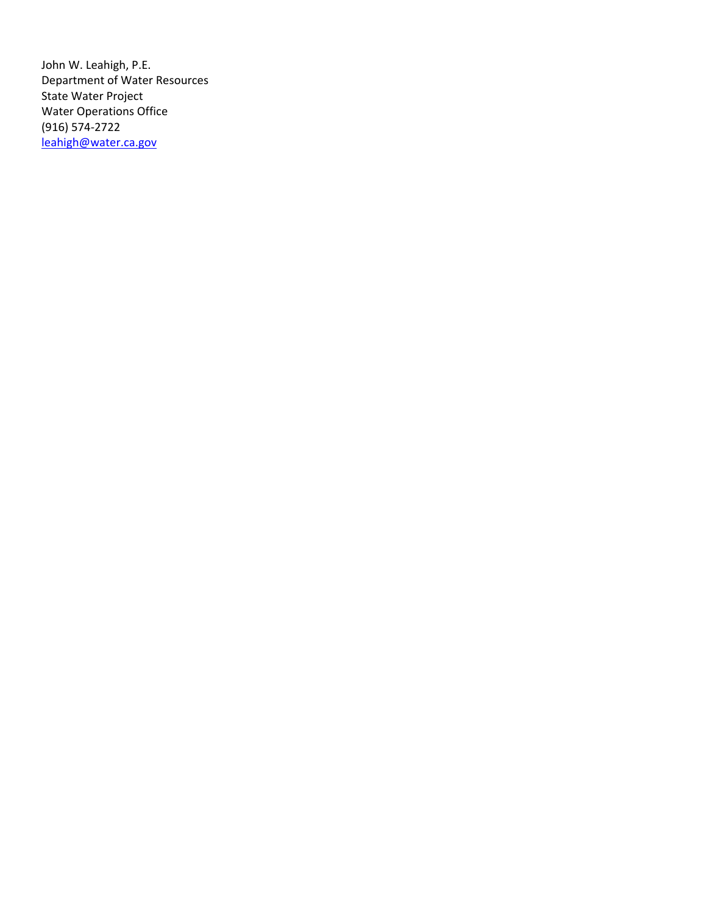John W. Leahigh, P.E. Department of Water Resources State Water Project Water Operations Office (916) 574‐2722 leahigh@water.ca.gov